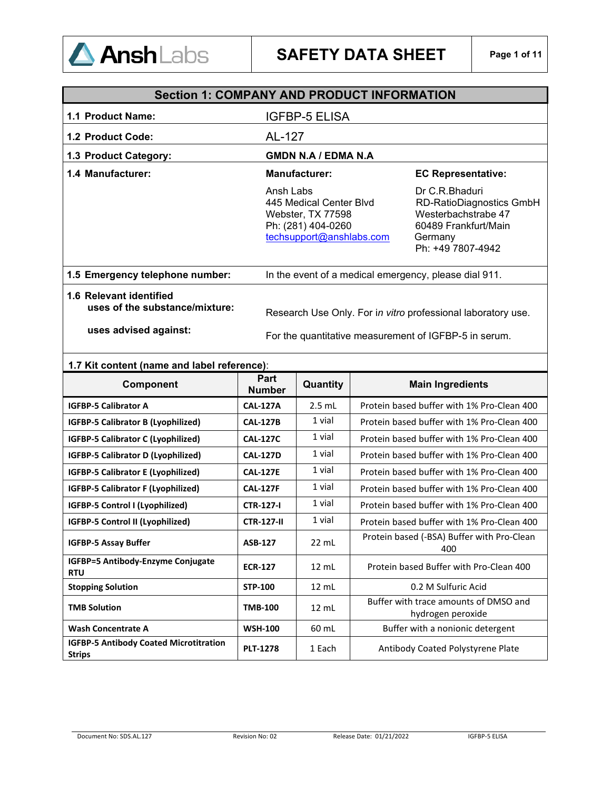

|                                                           | <b>Section 1: COMPANY AND PRODUCT INFORMATION</b>                                                           |                                                                                                                                  |  |  |
|-----------------------------------------------------------|-------------------------------------------------------------------------------------------------------------|----------------------------------------------------------------------------------------------------------------------------------|--|--|
| 1.1 Product Name:                                         | IGFBP-5 ELISA                                                                                               |                                                                                                                                  |  |  |
| 1.2 Product Code:                                         | AL-127                                                                                                      |                                                                                                                                  |  |  |
| 1.3 Product Category:                                     | <b>GMDN N.A / EDMA N.A</b>                                                                                  |                                                                                                                                  |  |  |
| 1.4 Manufacturer:                                         | <b>Manufacturer:</b>                                                                                        | <b>EC Representative:</b>                                                                                                        |  |  |
|                                                           | Ansh Labs<br>445 Medical Center Blvd<br>Webster, TX 77598<br>Ph: (281) 404-0260<br>techsupport@anshlabs.com | Dr C.R.Bhaduri<br><b>RD-RatioDiagnostics GmbH</b><br>Westerbachstrabe 47<br>60489 Frankfurt/Main<br>Germany<br>Ph: +49 7807-4942 |  |  |
| 1.5 Emergency telephone number:                           | In the event of a medical emergency, please dial 911.                                                       |                                                                                                                                  |  |  |
| 1.6 Relevant identified<br>uses of the substance/mixture: | Research Use Only. For in vitro professional laboratory use.                                                |                                                                                                                                  |  |  |
| uses advised against:                                     | For the quantitative measurement of IGFBP-5 in serum.                                                       |                                                                                                                                  |  |  |

### **1.7 Kit content (name and label reference)**:

| <b>Component</b>                                               | Part<br><b>Number</b> | Quantity        | <b>Main Ingredients</b>                                    |
|----------------------------------------------------------------|-----------------------|-----------------|------------------------------------------------------------|
| <b>IGFBP-5 Calibrator A</b>                                    | <b>CAL-127A</b>       | $2.5$ mL        | Protein based buffer with 1% Pro-Clean 400                 |
| <b>IGFBP-5 Calibrator B (Lyophilized)</b>                      | <b>CAL-127B</b>       | 1 vial          | Protein based buffer with 1% Pro-Clean 400                 |
| <b>IGFBP-5 Calibrator C (Lyophilized)</b>                      | <b>CAL-127C</b>       | 1 vial          | Protein based buffer with 1% Pro-Clean 400                 |
| <b>IGFBP-5 Calibrator D (Lyophilized)</b>                      | <b>CAL-127D</b>       | 1 vial          | Protein based buffer with 1% Pro-Clean 400                 |
| <b>IGFBP-5 Calibrator E (Lyophilized)</b>                      | <b>CAL-127E</b>       | 1 vial          | Protein based buffer with 1% Pro-Clean 400                 |
| <b>IGFBP-5 Calibrator F (Lyophilized)</b>                      | <b>CAL-127F</b>       | 1 vial          | Protein based buffer with 1% Pro-Clean 400                 |
| IGFBP-5 Control I (Lyophilized)                                | <b>CTR-127-I</b>      | 1 vial          | Protein based buffer with 1% Pro-Clean 400                 |
| IGFBP-5 Control II (Lyophilized)                               | <b>CTR-127-II</b>     | 1 vial          | Protein based buffer with 1% Pro-Clean 400                 |
| <b>IGFBP-5 Assay Buffer</b>                                    | <b>ASB-127</b>        | $22$ mL         | Protein based (-BSA) Buffer with Pro-Clean<br>400          |
| IGFBP=5 Antibody-Enzyme Conjugate<br><b>RTU</b>                | <b>ECR-127</b>        | 12 mL           | Protein based Buffer with Pro-Clean 400                    |
| <b>Stopping Solution</b>                                       | <b>STP-100</b>        | $12 \text{ ml}$ | 0.2 M Sulfuric Acid                                        |
| <b>TMB Solution</b>                                            | <b>TMB-100</b>        | $12 \text{ mL}$ | Buffer with trace amounts of DMSO and<br>hydrogen peroxide |
| <b>Wash Concentrate A</b>                                      | <b>WSH-100</b>        | 60 mL           | Buffer with a nonionic detergent                           |
| <b>IGFBP-5 Antibody Coated Microtitration</b><br><b>Strips</b> | <b>PLT-1278</b>       | 1 Each          | Antibody Coated Polystyrene Plate                          |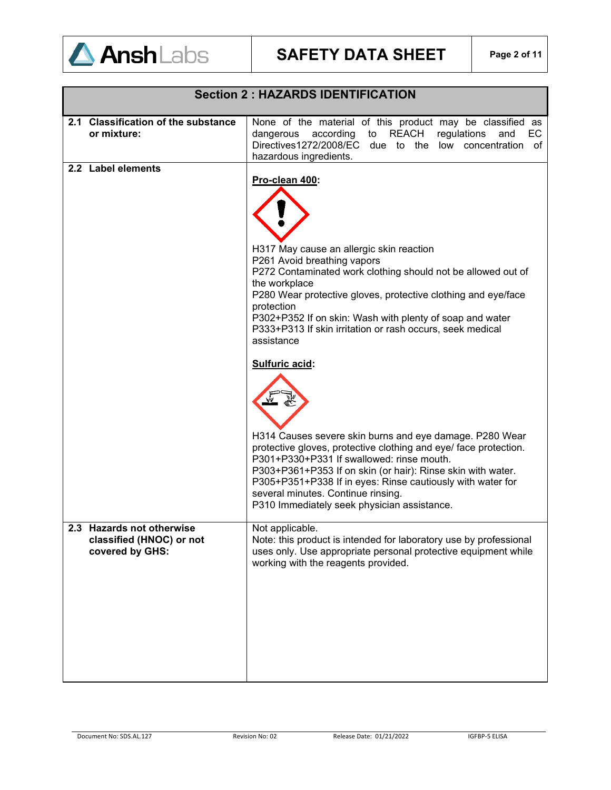

| <b>Section 2: HAZARDS IDENTIFICATION</b>                                 |                                                                                                                                                                                                                                                                                                                                                                                                                                                                                                                                                                                                                                                                                                                                                                                                                  |  |  |
|--------------------------------------------------------------------------|------------------------------------------------------------------------------------------------------------------------------------------------------------------------------------------------------------------------------------------------------------------------------------------------------------------------------------------------------------------------------------------------------------------------------------------------------------------------------------------------------------------------------------------------------------------------------------------------------------------------------------------------------------------------------------------------------------------------------------------------------------------------------------------------------------------|--|--|
| 2.1 Classification of the substance<br>or mixture:                       | None of the material of this product may be classified as<br>dangerous<br>according<br>to<br>REACH<br>regulations<br>EC.<br>and<br>Directives1272/2008/EC due to the low concentration<br>of<br>hazardous ingredients.                                                                                                                                                                                                                                                                                                                                                                                                                                                                                                                                                                                           |  |  |
| 2.2 Label elements                                                       | Pro-clean 400:<br>H317 May cause an allergic skin reaction<br>P261 Avoid breathing vapors<br>P272 Contaminated work clothing should not be allowed out of<br>the workplace<br>P280 Wear protective gloves, protective clothing and eye/face<br>protection<br>P302+P352 If on skin: Wash with plenty of soap and water<br>P333+P313 If skin irritation or rash occurs, seek medical<br>assistance<br>Sulfuric acid:<br>H314 Causes severe skin burns and eye damage. P280 Wear<br>protective gloves, protective clothing and eye/ face protection.<br>P301+P330+P331 If swallowed: rinse mouth.<br>P303+P361+P353 If on skin (or hair): Rinse skin with water.<br>P305+P351+P338 If in eyes: Rinse cautiously with water for<br>several minutes. Continue rinsing.<br>P310 Immediately seek physician assistance. |  |  |
| 2.3 Hazards not otherwise<br>classified (HNOC) or not<br>covered by GHS: | Not applicable.<br>Note: this product is intended for laboratory use by professional<br>uses only. Use appropriate personal protective equipment while<br>working with the reagents provided.                                                                                                                                                                                                                                                                                                                                                                                                                                                                                                                                                                                                                    |  |  |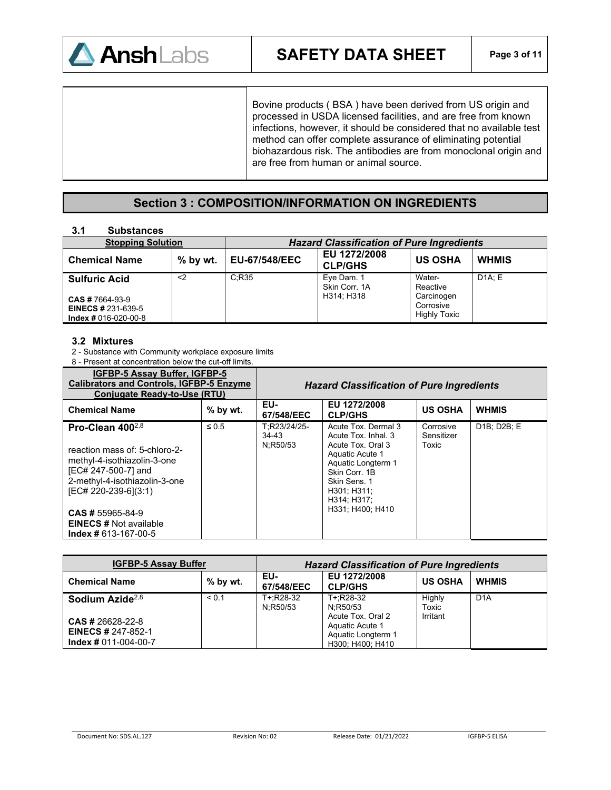

Bovine products ( BSA ) have been derived from US origin and processed in USDA licensed facilities, and are free from known infections, however, it should be considered that no available test method can offer complete assurance of eliminating potential biohazardous risk. The antibodies are from monoclonal origin and are free from human or animal source.

## **Section 3 : COMPOSITION/INFORMATION ON INGREDIENTS**

#### **3.1 Substances**

| <b>Stopping Solution</b>                                                      |            | <b>Hazard Classification of Pure Ingredients</b> |                                |                                                |              |
|-------------------------------------------------------------------------------|------------|--------------------------------------------------|--------------------------------|------------------------------------------------|--------------|
| <b>Chemical Name</b>                                                          | $%$ by wt. | <b>EU-67/548/EEC</b>                             | EU 1272/2008<br><b>CLP/GHS</b> | <b>US OSHA</b>                                 | <b>WHMIS</b> |
| <b>Sulfuric Acid</b>                                                          | <2         | C:R35                                            | Eye Dam. 1<br>Skin Corr. 1A    | Water-<br>Reactive                             | D1A: E       |
| <b>CAS # 7664-93-9</b><br><b>EINECS # 231-639-5</b><br>$Index # 016-020-00-8$ |            |                                                  | H314: H318                     | Carcinogen<br>Corrosive<br><b>Highly Toxic</b> |              |

#### **3.2 Mixtures**

2 - Substance with Community workplace exposure limits

8 - Present at concentration below the cut-off limits.

| <b>IGFBP-5 Assay Buffer, IGFBP-5</b><br><b>Calibrators and Controls, IGFBP-5 Enzyme</b><br>Conjugate Ready-to-Use (RTU)                                                                                                                                     |            | <b>Hazard Classification of Pure Ingredients</b> |                                                                                                                                                                                             |                                  |              |
|-------------------------------------------------------------------------------------------------------------------------------------------------------------------------------------------------------------------------------------------------------------|------------|--------------------------------------------------|---------------------------------------------------------------------------------------------------------------------------------------------------------------------------------------------|----------------------------------|--------------|
| <b>Chemical Name</b>                                                                                                                                                                                                                                        | $%$ by wt. | EU-<br>67/548/EEC                                | EU 1272/2008<br><b>CLP/GHS</b>                                                                                                                                                              | <b>US OSHA</b>                   | <b>WHMIS</b> |
| Pro-Clean $400^{2,8}$<br>reaction mass of: 5-chloro-2-<br>methyl-4-isothiazolin-3-one<br>[EC# 247-500-7] and<br>2-methyl-4-isothiazolin-3-one<br>[EC# 220-239-6](3:1)<br><b>CAS # 55965-84-9</b><br><b>EINECS # Not available</b><br>$Index # 613-167-00-5$ | $\leq 0.5$ | T:R23/24/25-<br>34-43<br>N:R50/53                | Acute Tox, Dermal 3<br>Acute Tox, Inhal, 3<br>Acute Tox, Oral 3<br>Aquatic Acute 1<br>Aquatic Longterm 1<br>Skin Corr. 1B<br>Skin Sens. 1<br>H301: H311:<br>H314; H317;<br>H331: H400: H410 | Corrosive<br>Sensitizer<br>Toxic | D1B; D2B; E  |

| <b>IGFBP-5 Assay Buffer</b>                                                    |            | <b>Hazard Classification of Pure Ingredients</b> |                                                                                |                 |                  |
|--------------------------------------------------------------------------------|------------|--------------------------------------------------|--------------------------------------------------------------------------------|-----------------|------------------|
| <b>Chemical Name</b>                                                           | $%$ by wt. | EU-<br>67/548/EEC                                | EU 1272/2008<br><b>CLP/GHS</b>                                                 | <b>US OSHA</b>  | <b>WHMIS</b>     |
| Sodium Azide <sup>2,8</sup>                                                    | < 0.1      | T+:R28-32<br>N:R50/53                            | T+:R28-32<br>N:R50/53                                                          | Highly<br>Toxic | D <sub>1</sub> A |
| <b>CAS # 26628-22-8</b><br><b>EINECS # 247-852-1</b><br>$Index # 011-004-00-7$ |            |                                                  | Acute Tox, Oral 2<br>Aquatic Acute 1<br>Aquatic Longterm 1<br>H300; H400; H410 | Irritant        |                  |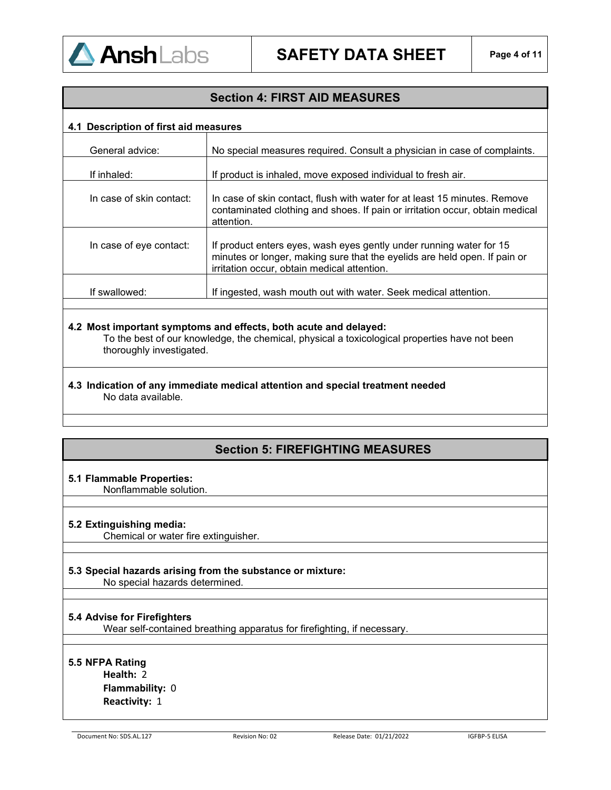

## **Section 4: FIRST AID MEASURES**

#### **4.1 Description of first aid measures**

| General advice:          | No special measures required. Consult a physician in case of complaints.                                                                                                                        |
|--------------------------|-------------------------------------------------------------------------------------------------------------------------------------------------------------------------------------------------|
| If inhaled:              | If product is inhaled, move exposed individual to fresh air.                                                                                                                                    |
| In case of skin contact: | In case of skin contact, flush with water for at least 15 minutes. Remove<br>contaminated clothing and shoes. If pain or irritation occur, obtain medical<br>attention.                         |
| In case of eye contact:  | If product enters eyes, wash eyes gently under running water for 15<br>minutes or longer, making sure that the eyelids are held open. If pain or<br>irritation occur, obtain medical attention. |
| If swallowed:            | If ingested, wash mouth out with water. Seek medical attention.                                                                                                                                 |
|                          |                                                                                                                                                                                                 |

#### **4.2 Most important symptoms and effects, both acute and delayed:**

To the best of our knowledge, the chemical, physical a toxicological properties have not been thoroughly investigated.

**4.3 Indication of any immediate medical attention and special treatment needed**  No data available.

## **Section 5: FIREFIGHTING MEASURES**

#### **5.1 Flammable Properties:**

Nonflammable solution.

#### **5.2 Extinguishing media:**

Chemical or water fire extinguisher.

#### **5.3 Special hazards arising from the substance or mixture:**

No special hazards determined.

#### **5.4 Advise for Firefighters**

Wear self-contained breathing apparatus for firefighting, if necessary.

#### **5.5 NFPA Rating**

**Health:** 2 **Flammability:** 0 **Reactivity:** 1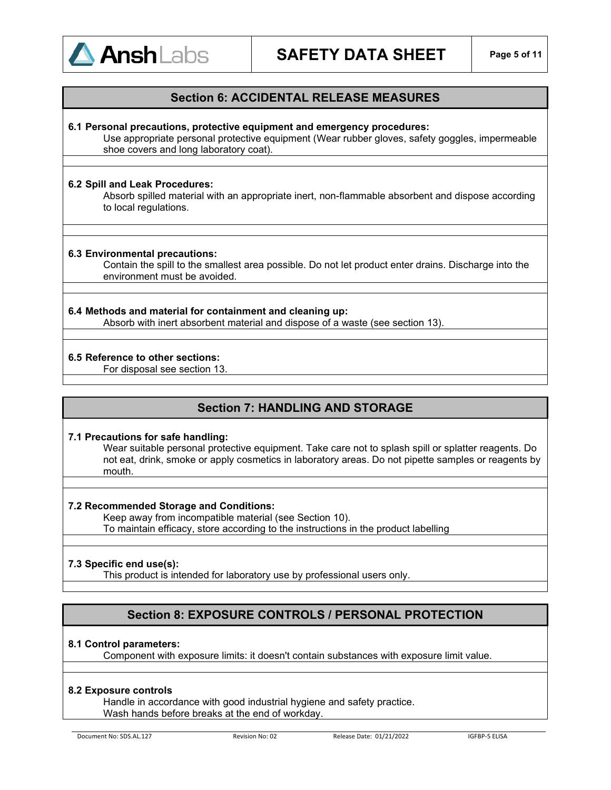

### **Section 6: ACCIDENTAL RELEASE MEASURES**

#### **6.1 Personal precautions, protective equipment and emergency procedures:**

Use appropriate personal protective equipment (Wear rubber gloves, safety goggles, impermeable shoe covers and long laboratory coat).

#### **6.2 Spill and Leak Procedures:**

Absorb spilled material with an appropriate inert, non-flammable absorbent and dispose according to local regulations.

#### **6.3 Environmental precautions:**

Contain the spill to the smallest area possible. Do not let product enter drains. Discharge into the environment must be avoided.

## **6.4 Methods and material for containment and cleaning up:**

Absorb with inert absorbent material and dispose of a waste (see section 13).

#### **6.5 Reference to other sections:**

For disposal see section 13.

## **Section 7: HANDLING AND STORAGE**

#### **7.1 Precautions for safe handling:**

Wear suitable personal protective equipment. Take care not to splash spill or splatter reagents. Do not eat, drink, smoke or apply cosmetics in laboratory areas. Do not pipette samples or reagents by mouth.

#### **7.2 Recommended Storage and Conditions:**

Keep away from incompatible material (see Section 10).

To maintain efficacy, store according to the instructions in the product labelling

#### **7.3 Specific end use(s):**

This product is intended for laboratory use by professional users only.

## **Section 8: EXPOSURE CONTROLS / PERSONAL PROTECTION**

#### **8.1 Control parameters:**

Component with exposure limits: it doesn't contain substances with exposure limit value.

#### **8.2 Exposure controls**

Handle in accordance with good industrial hygiene and safety practice. Wash hands before breaks at the end of workday.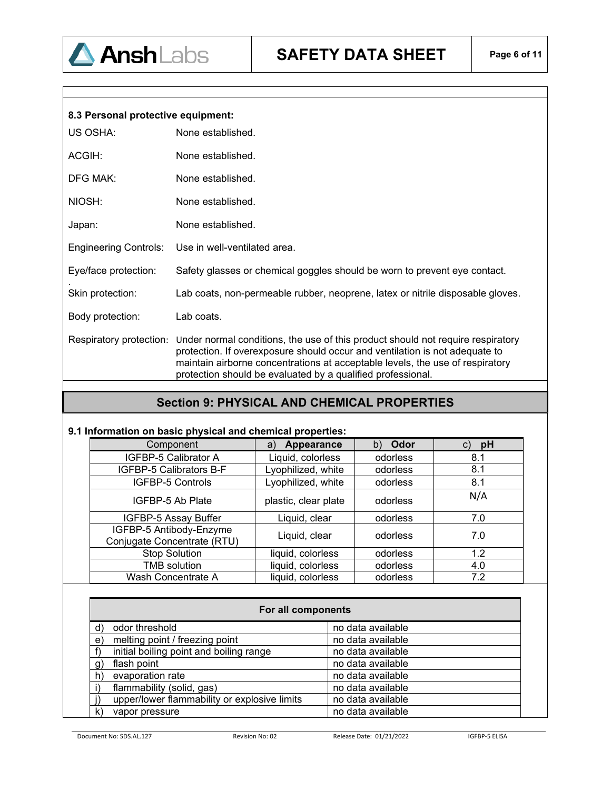|  | 8.3 Personal protective equipment: |
|--|------------------------------------|
|  |                                    |

| None established.                                                                                                                                                                                                                                                                                                                         |
|-------------------------------------------------------------------------------------------------------------------------------------------------------------------------------------------------------------------------------------------------------------------------------------------------------------------------------------------|
| None established.                                                                                                                                                                                                                                                                                                                         |
| None established.                                                                                                                                                                                                                                                                                                                         |
| None established.                                                                                                                                                                                                                                                                                                                         |
| None established.                                                                                                                                                                                                                                                                                                                         |
| Use in well-ventilated area.                                                                                                                                                                                                                                                                                                              |
| Safety glasses or chemical goggles should be worn to prevent eye contact.                                                                                                                                                                                                                                                                 |
| Lab coats, non-permeable rubber, neoprene, latex or nitrile disposable gloves.                                                                                                                                                                                                                                                            |
| Lab coats.                                                                                                                                                                                                                                                                                                                                |
| Respiratory protection:<br>Under normal conditions, the use of this product should not require respiratory<br>protection. If overexposure should occur and ventilation is not adequate to<br>maintain airborne concentrations at acceptable levels, the use of respiratory<br>protection should be evaluated by a qualified professional. |
|                                                                                                                                                                                                                                                                                                                                           |

## **Section 9: PHYSICAL AND CHEMICAL PROPERTIES**

## **9.1 Information on basic physical and chemical properties:**

| Component                                              | Appearance<br>a)     | Odor<br>b) | pH  |
|--------------------------------------------------------|----------------------|------------|-----|
| IGFBP-5 Calibrator A                                   | Liquid, colorless    | odorless   | 8.1 |
| IGFBP-5 Calibrators B-F                                | Lyophilized, white   | odorless   | 8.1 |
| IGFBP-5 Controls                                       | Lyophilized, white   | odorless   | 8.1 |
| IGFBP-5 Ab Plate                                       | plastic, clear plate | odorless   | N/A |
| IGFBP-5 Assay Buffer                                   | Liquid, clear        | odorless   | 7.0 |
| IGFBP-5 Antibody-Enzyme<br>Conjugate Concentrate (RTU) | Liquid, clear        | odorless   | 7.0 |
| <b>Stop Solution</b>                                   | liquid, colorless    | odorless   | 1.2 |
| <b>TMB</b> solution                                    | liquid, colorless    | odorless   | 4.0 |
| Wash Concentrate A                                     | liquid, colorless    | odorless   | 7.2 |

| For all components                             |                   |  |  |  |
|------------------------------------------------|-------------------|--|--|--|
| odor threshold<br>ď                            | no data available |  |  |  |
| melting point / freezing point<br>$\mathbf{e}$ | no data available |  |  |  |
| initial boiling point and boiling range        | no data available |  |  |  |
| flash point<br>g,                              | no data available |  |  |  |
| evaporation rate<br>h)                         | no data available |  |  |  |
| flammability (solid, gas)                      | no data available |  |  |  |
| upper/lower flammability or explosive limits   | no data available |  |  |  |
| k)<br>vapor pressure                           | no data available |  |  |  |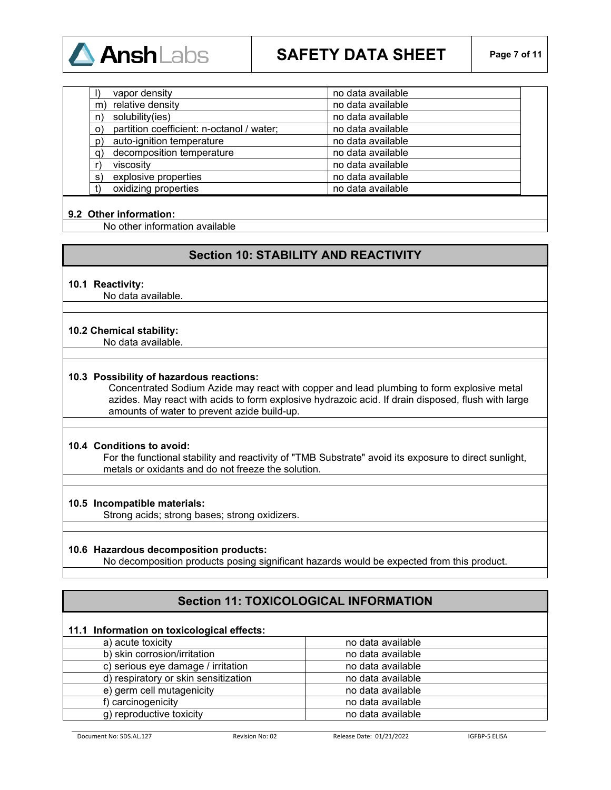

| vapor density                                        | no data available |
|------------------------------------------------------|-------------------|
| relative density<br>m                                | no data available |
| solubility(ies)<br>n)                                | no data available |
| partition coefficient: n-octanol / water;<br>$\circ$ | no data available |
| auto-ignition temperature<br>$\mathsf{p}$            | no data available |
| decomposition temperature<br>q)                      | no data available |
| viscosity                                            | no data available |
| explosive properties<br>s)                           | no data available |
| oxidizing properties                                 | no data available |

#### **9.2 Other information:**

No other information available

## **Section 10: STABILITY AND REACTIVITY**

#### **10.1 Reactivity:**

No data available.

#### **10.2 Chemical stability:**

No data available.

#### **10.3 Possibility of hazardous reactions:**

Concentrated Sodium Azide may react with copper and lead plumbing to form explosive metal azides. May react with acids to form explosive hydrazoic acid. If drain disposed, flush with large amounts of water to prevent azide build-up.

#### **10.4 Conditions to avoid:**

For the functional stability and reactivity of "TMB Substrate" avoid its exposure to direct sunlight, metals or oxidants and do not freeze the solution.

#### **10.5 Incompatible materials:**

Strong acids; strong bases; strong oxidizers.

#### **10.6 Hazardous decomposition products:**

No decomposition products posing significant hazards would be expected from this product.

## **Section 11: TOXICOLOGICAL INFORMATION**

#### **11.1 Information on toxicological effects:**

| a) acute toxicity                    | no data available |
|--------------------------------------|-------------------|
| b) skin corrosion/irritation         | no data available |
| c) serious eye damage / irritation   | no data available |
| d) respiratory or skin sensitization | no data available |
| e) germ cell mutagenicity            | no data available |
| f) carcinogenicity                   | no data available |
| g) reproductive toxicity             | no data available |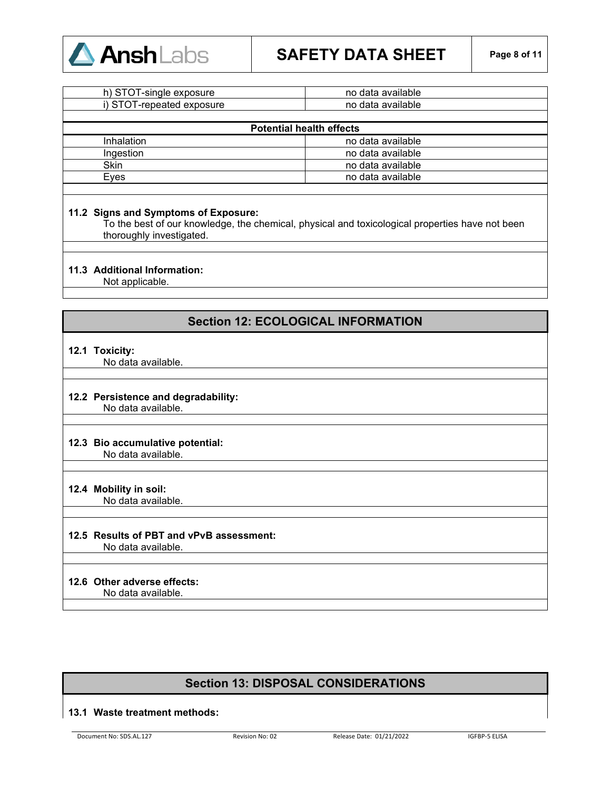

# **SAFETY DATA SHEET Page 8 of 11**

| h) STOT-single exposure          | no data available |
|----------------------------------|-------------------|
| i) STOT-<br>T-repeated exposure_ | no data available |
|                                  |                   |

| <b>Potential health effects</b> |                   |  |
|---------------------------------|-------------------|--|
| Inhalation                      | no data available |  |
| <b>Ingestion</b>                | no data available |  |
| <b>Skin</b>                     | no data available |  |
| Eves                            | no data available |  |
|                                 |                   |  |

#### **11.2 Signs and Symptoms of Exposure:**

To the best of our knowledge, the chemical, physical and toxicological properties have not been thoroughly investigated.

#### **11.3 Additional Information:**

Not applicable.

## **Section 12: ECOLOGICAL INFORMATION**

#### **12.1 Toxicity:**

No data available.

# **12.2 Persistence and degradability:**

No data available.

## **12.3 Bio accumulative potential:**

No data available.

### **12.4 Mobility in soil:**

No data available.

## **12.5 Results of PBT and vPvB assessment:**

No data available.

## **12.6 Other adverse effects:**

No data available.

## **Section 13: DISPOSAL CONSIDERATIONS**

#### **13.1 Waste treatment methods:**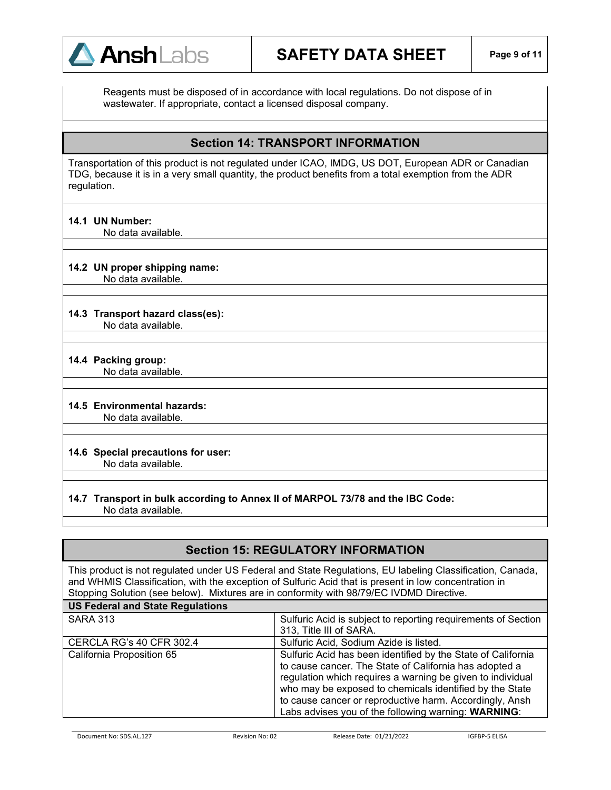

Reagents must be disposed of in accordance with local regulations. Do not dispose of in wastewater. If appropriate, contact a licensed disposal company.

## **Section 14: TRANSPORT INFORMATION**

Transportation of this product is not regulated under ICAO, IMDG, US DOT, European ADR or Canadian TDG, because it is in a very small quantity, the product benefits from a total exemption from the ADR regulation.

**14.1 UN Number:**

No data available.

#### **14.2 UN proper shipping name:**

No data available.

## **14.3 Transport hazard class(es):**

No data available.

#### **14.4 Packing group:**

No data available.

#### **14.5 Environmental hazards:**

No data available.

#### **14.6 Special precautions for user:** No data available.

#### **14.7 Transport in bulk according to Annex II of MARPOL 73/78 and the IBC Code:** No data available.

## **Section 15: REGULATORY INFORMATION**

This product is not regulated under US Federal and State Regulations, EU labeling Classification, Canada, and WHMIS Classification, with the exception of Sulfuric Acid that is present in low concentration in Stopping Solution (see below). Mixtures are in conformity with 98/79/EC IVDMD Directive.

| <b>US Federal and State Regulations</b> |                                                               |
|-----------------------------------------|---------------------------------------------------------------|
| <b>SARA 313</b>                         | Sulfuric Acid is subject to reporting requirements of Section |
|                                         | 313, Title III of SARA.                                       |
| <b>CERCLA RG's 40 CFR 302.4</b>         | Sulfuric Acid, Sodium Azide is listed.                        |
| California Proposition 65               | Sulfuric Acid has been identified by the State of California  |
|                                         | to cause cancer. The State of California has adopted a        |
|                                         | regulation which requires a warning be given to individual    |
|                                         | who may be exposed to chemicals identified by the State       |
|                                         | to cause cancer or reproductive harm. Accordingly, Ansh       |
|                                         | Labs advises you of the following warning: WARNING:           |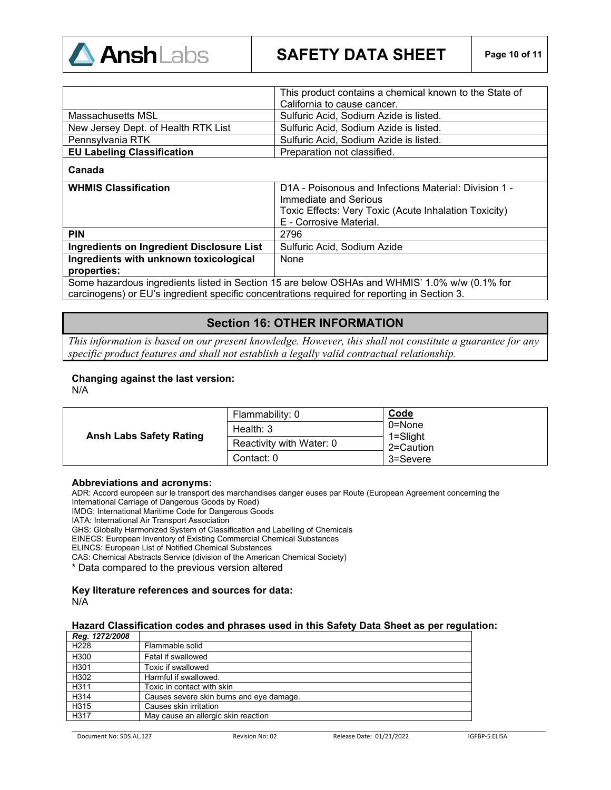

|                                     | This product contains a chemical known to the State of |
|-------------------------------------|--------------------------------------------------------|
|                                     | California to cause cancer.                            |
| Massachusetts MSL                   | Sulfuric Acid, Sodium Azide is listed.                 |
| New Jersey Dept. of Health RTK List | Sulfuric Acid, Sodium Azide is listed.                 |
| Pennsylvania RTK                    | Sulfuric Acid, Sodium Azide is listed.                 |
| <b>EU Labeling Classification</b>   | Preparation not classified.                            |

#### **Canada**

| <b>WHMIS Classification</b>                                                                   | D1A - Poisonous and Infections Material: Division 1 - |
|-----------------------------------------------------------------------------------------------|-------------------------------------------------------|
|                                                                                               | Immediate and Serious                                 |
|                                                                                               | Toxic Effects: Very Toxic (Acute Inhalation Toxicity) |
|                                                                                               | E - Corrosive Material.                               |
| <b>PIN</b>                                                                                    | 2796                                                  |
| Ingredients on Ingredient Disclosure List                                                     | Sulfuric Acid, Sodium Azide                           |
| Ingredients with unknown toxicological                                                        | None                                                  |
| properties:                                                                                   |                                                       |
| Some hazardous ingredients listed in Section 15 are below OSHAs and WHMIS' 1 0% w/w (0.1% for |                                                       |

Some hazardous ingredients listed in Section 15 are below OSHAs and WHMIS' 1.0% w/w (0.1% for carcinogens) or EU's ingredient specific concentrations required for reporting in Section 3.

## **Section 16: OTHER INFORMATION**

*This information is based on our present knowledge. However, this shall not constitute a guarantee for any specific product features and shall not establish a legally valid contractual relationship*.

#### **Changing against the last version:**

N/A

|                                | Flammability: 0          | Code                      |
|--------------------------------|--------------------------|---------------------------|
|                                | Health: $3$              | 0=None                    |
| <b>Ansh Labs Safety Rating</b> | Reactivity with Water: 0 | $1 =$ Slight<br>2=Caution |
|                                | Contact: 0               | 3=Severe                  |

#### **Abbreviations and acronyms:**

ADR: Accord européen sur le transport des marchandises danger euses par Route (European Agreement concerning the International Carriage of Dangerous Goods by Road)

IMDG: International Maritime Code for Dangerous Goods

IATA: International Air Transport Association

GHS: Globally Harmonized System of Classification and Labelling of Chemicals

EINECS: European Inventory of Existing Commercial Chemical Substances

ELINCS: European List of Notified Chemical Substances

CAS: Chemical Abstracts Service (division of the American Chemical Society)

\* Data compared to the previous version altered

#### **Key literature references and sources for data:** N/A

#### **Hazard Classification codes and phrases used in this Safety Data Sheet as per regulation:**

| Reg. 1272/2008   |                                          |
|------------------|------------------------------------------|
| H <sub>228</sub> | Flammable solid                          |
| H300             | Fatal if swallowed                       |
| H301             | Toxic if swallowed                       |
| H302             | Harmful if swallowed.                    |
| H311             | Toxic in contact with skin               |
| H314             | Causes severe skin burns and eye damage. |
| H315             | Causes skin irritation                   |
| H317             | May cause an allergic skin reaction      |